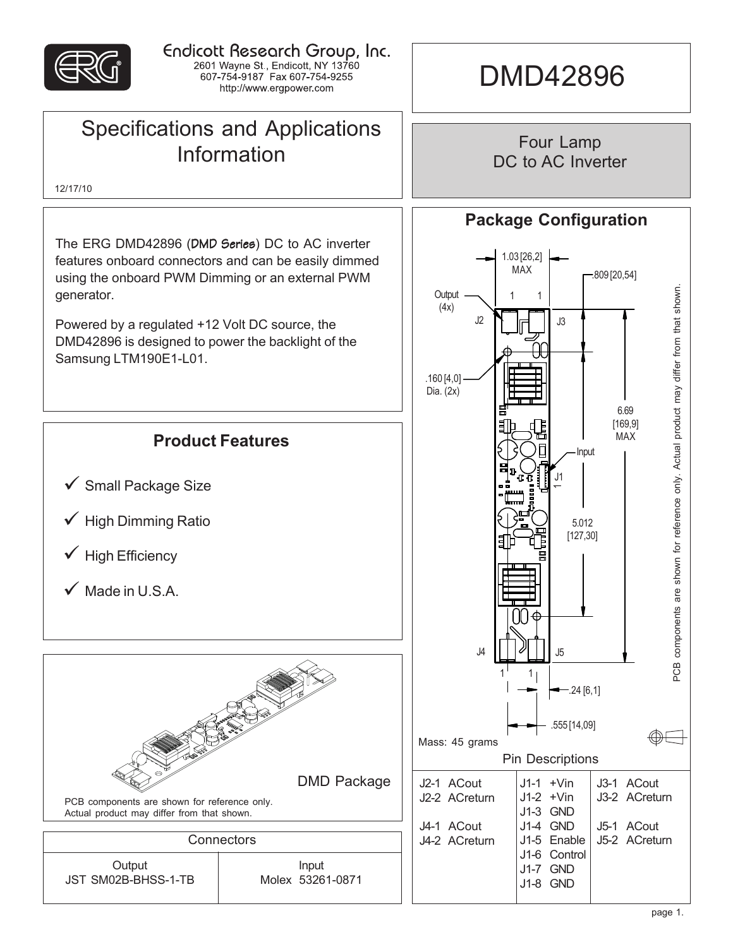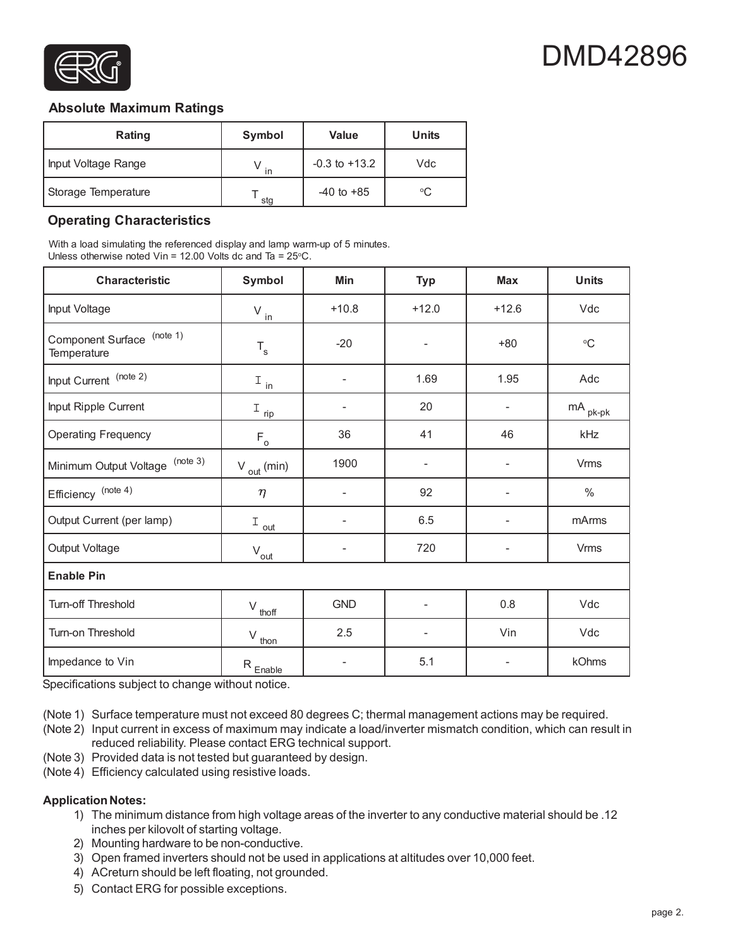

#### **Absolute Maximum Ratings**

| Rating              | Symbol | <b>Value</b>      | <b>Units</b> |
|---------------------|--------|-------------------|--------------|
| Input Voltage Range | in     | $-0.3$ to $+13.2$ | Vdc          |
| Storage Temperature | stg    | $-40$ to $+85$    | ∘C           |

## **Operating Characteristics**

With a load simulating the referenced display and lamp warm-up of 5 minutes. Unless otherwise noted Vin = 12.00 Volts dc and Ta =  $25^{\circ}$ C.

| <b>Characteristic</b>                     | Symbol                                          | Min                      | <b>Typ</b>               | <b>Max</b>               | <b>Units</b>          |  |  |
|-------------------------------------------|-------------------------------------------------|--------------------------|--------------------------|--------------------------|-----------------------|--|--|
| Input Voltage                             | $V_{\underline{\text{in}}}$                     | $+10.8$                  | $+12.0$                  | $+12.6$                  | Vdc                   |  |  |
| Component Surface (note 1)<br>Temperature | $\mathsf{T}_{\mathsf{s}}$                       | $-20$                    | $\overline{\phantom{a}}$ | $+80$                    | $\rm ^{\circ}C$       |  |  |
| Input Current (note 2)                    | $I_{\text{in}}$                                 | $\overline{\phantom{a}}$ | 1.69                     | 1.95                     | Adc                   |  |  |
| Input Ripple Current                      | $I_{\text{rip}}$                                |                          | 20                       |                          | $mA$ <sub>pk-pk</sub> |  |  |
| <b>Operating Frequency</b>                | $\mathsf{F}_\mathsf{o}$                         | 36                       | 41                       | 46                       | kHz                   |  |  |
| (note 3)<br>Minimum Output Voltage        | $V_{\text{out}}$ (min)                          | 1900                     | $\overline{\phantom{a}}$ |                          | <b>Vrms</b>           |  |  |
| Efficiency (note 4)                       | $\eta$                                          | $\overline{a}$           | 92                       |                          | $\%$                  |  |  |
| Output Current (per lamp)                 | $I_{\underline{\text{out}}}$                    | $\overline{\phantom{m}}$ | 6.5                      | $\overline{\phantom{0}}$ | mArms                 |  |  |
| Output Voltage                            | $V_{\underline{out}}$                           | $\overline{\phantom{0}}$ | 720                      | -                        | <b>Vrms</b>           |  |  |
| <b>Enable Pin</b>                         |                                                 |                          |                          |                          |                       |  |  |
| Turn-off Threshold                        | $V_{\underline{t} \underline{h} \underline{f}}$ | <b>GND</b>               | $\overline{\phantom{a}}$ | 0.8                      | Vdc                   |  |  |
| Turn-on Threshold                         | V<br>thon                                       | 2.5                      |                          | Vin                      | Vdc                   |  |  |
| Impedance to Vin                          | $R_{Enable}$                                    |                          | 5.1                      |                          | kOhms                 |  |  |

Specifications subject to change without notice.

(Note 1) Surface temperature must not exceed 80 degrees C; thermal management actions may be required.

(Note 2) Input current in excess of maximum may indicate a load/inverter mismatch condition, which can result in reduced reliability. Please contact ERG technical support.

(Note 3) Provided data is not tested but guaranteed by design.

(Note 4) Efficiency calculated using resistive loads.

#### **Application Notes:**

- 1) The minimum distance from high voltage areas of the inverter to any conductive material should be .12 inches per kilovolt of starting voltage.
- 2) Mounting hardware to be non-conductive.
- 3) Open framed inverters should not be used in applications at altitudes over 10,000 feet.
- 4) ACreturn should be left floating, not grounded.
- 5) Contact ERG for possible exceptions.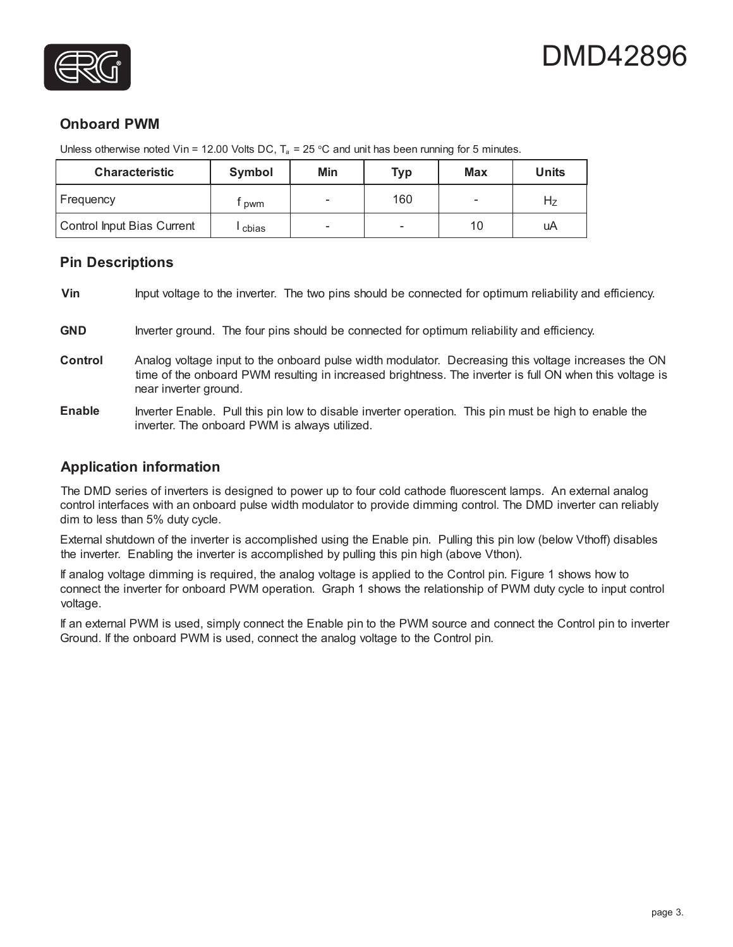



# **Onboard PWM**

Unless otherwise noted Vin = 12.00 Volts DC,  $T_a = 25 \degree C$  and unit has been running for 5 minutes.

| <b>Characteristic</b>      | Symbol | Min                      | <b>Typ</b> | Max | Units |
|----------------------------|--------|--------------------------|------------|-----|-------|
| Frequency                  | pwm    |                          | 160        |     | דה    |
| Control Input Bias Current | cbias  | $\overline{\phantom{a}}$ | -          | 10  | uA    |

#### **Pin Descriptions**

**Vin** Input voltage to the inverter. The two pins should be connected for optimum reliability and efficiency.

- GND Inverter ground. The four pins should be connected for optimum reliability and efficiency.
- **Control** Analog voltage input to the onboard pulse width modulator. Decreasing this voltage increases the ON time of the onboard PWM resulting in increased brightness. The inverter is full ON when this voltage is near inverter ground.
- **Enable** Inverter Enable. Pull this pin low to disable inverter operation. This pin must be high to enable the inverter. The onboard PWM is always utilized.

## **Application information**

The DMD series of inverters is designed to power up to four cold cathode fluorescent lamps. An external analog control interfaces with an onboard pulse width modulator to provide dimming control. The DMD inverter can reliably dim to less than 5% duty cycle.

External shutdown of the inverter is accomplished using the Enable pin. Pulling this pin low (below Vthoff) disables the inverter. Enabling the inverter is accomplished by pulling this pin high (above Vthon).

If analog voltage dimming is required, the analog voltage is applied to the Control pin. Figure 1 shows how to connect the inverter for onboard PWM operation. Graph 1 shows the relationship of PWM duty cycle to input control voltage.

If an external PWM is used, simply connect the Enable pin to the PWM source and connect the Control pin to inverter Ground. If the onboard PWM is used, connect the analog voltage to the Control pin.